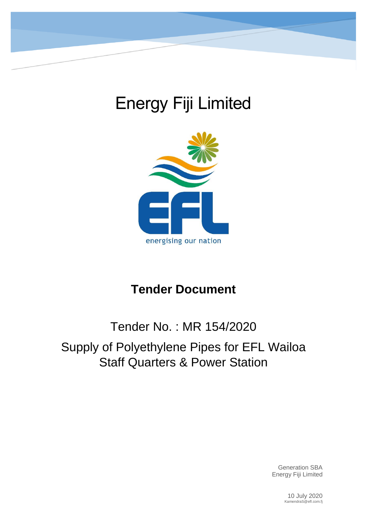# Energy Fiji Limited



## **Tender Document**

## Tender No. : MR 154/2020 Supply of Polyethylene Pipes for EFL Wailoa Staff Quarters & Power Station

Generation SBA Energy Fiji Limited

> 10 July 2020 KamendraS@efl.com.fj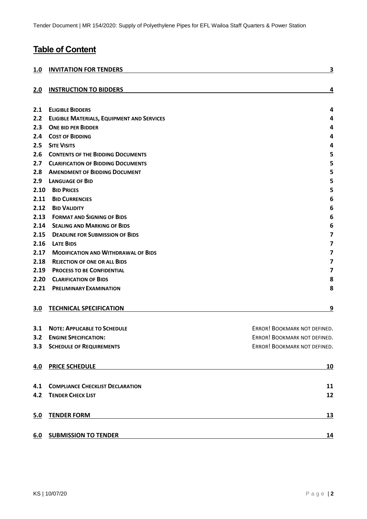## **Table of Content**

| 1.0  | <b>INVITATION FOR TENDERS</b>                     | 3                            |
|------|---------------------------------------------------|------------------------------|
| 2.0  | <b>INSTRUCTION TO BIDDERS</b>                     | 4                            |
| 2.1  | <b>ELIGIBLE BIDDERS</b>                           | 4                            |
| 2.2  | <b>ELIGIBLE MATERIALS, EQUIPMENT AND SERVICES</b> | 4                            |
| 2.3  | <b>ONE BID PER BIDDER</b>                         | 4                            |
| 2.4  | <b>COST OF BIDDING</b>                            | 4                            |
| 2.5  | <b>SITE VISITS</b>                                | 4                            |
| 2.6  | <b>CONTENTS OF THE BIDDING DOCUMENTS</b>          | 5                            |
| 2.7  | <b>CLARIFICATION OF BIDDING DOCUMENTS</b>         | 5                            |
| 2.8  | <b>AMENDMENT OF BIDDING DOCUMENT</b>              | 5                            |
| 2.9  | <b>LANGUAGE OF BID</b>                            | 5                            |
| 2.10 | <b>BID PRICES</b>                                 | 5                            |
| 2.11 | <b>BID CURRENCIES</b>                             | 6                            |
| 2.12 | <b>BID VALIDITY</b>                               | 6                            |
| 2.13 | <b>FORMAT AND SIGNING OF BIDS</b>                 | 6                            |
| 2.14 | <b>SEALING AND MARKING OF BIDS</b>                | 6                            |
| 2.15 | <b>DEADLINE FOR SUBMISSION OF BIDS</b>            | 7                            |
| 2.16 | <b>LATE BIDS</b>                                  | 7                            |
| 2.17 | <b>MODIFICATION AND WITHDRAWAL OF BIDS</b>        | 7                            |
| 2.18 | <b>REJECTION OF ONE OR ALL BIDS</b>               | 7                            |
| 2.19 | <b>PROCESS TO BE CONFIDENTIAL</b>                 | $\overline{\mathbf{z}}$      |
| 2.20 | <b>CLARIFICATION OF BIDS</b>                      | 8                            |
| 2.21 | <b>PRELIMINARY EXAMINATION</b>                    | 8                            |
| 3.0  | <b>TECHNICAL SPECIFICATION</b>                    | 9                            |
| 3.1  | <b>NOTE: APPLICABLE TO SCHEDULE</b>               | ERROR! BOOKMARK NOT DEFINED. |
| 3.2  | <b>ENGINE SPECIFICATION:</b>                      | ERROR! BOOKMARK NOT DEFINED. |
|      | <b>3.3 SCHEDULE OF REQUIREMENTS</b>               | ERROR! BOOKMARK NOT DEFINED. |
| 4.0  | <b>PRICE SCHEDULE</b>                             | <u>10</u>                    |
| 4.1  | <b>COMPLIANCE CHECKLIST DECLARATION</b>           | 11                           |
| 4.2  | <b>TENDER CHECK LIST</b>                          | 12                           |
| 5.0  | <b>TENDER FORM</b>                                | <u>13</u>                    |
| 6.0  | <b>SUBMISSION TO TENDER</b>                       | 14                           |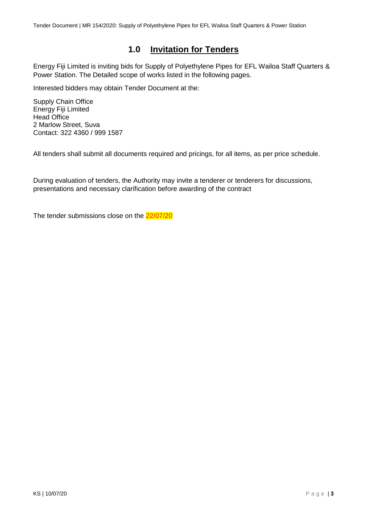## **1.0 Invitation for Tenders**

<span id="page-2-0"></span>Energy Fiji Limited is inviting bids for Supply of Polyethylene Pipes for EFL Wailoa Staff Quarters & Power Station. The Detailed scope of works listed in the following pages.

Interested bidders may obtain Tender Document at the:

Supply Chain Office Energy Fiji Limited Head Office 2 Marlow Street, Suva Contact: 322 4360 / 999 1587

All tenders shall submit all documents required and pricings, for all items, as per price schedule.

During evaluation of tenders, the Authority may invite a tenderer or tenderers for discussions, presentations and necessary clarification before awarding of the contract

The tender submissions close on the 22/07/20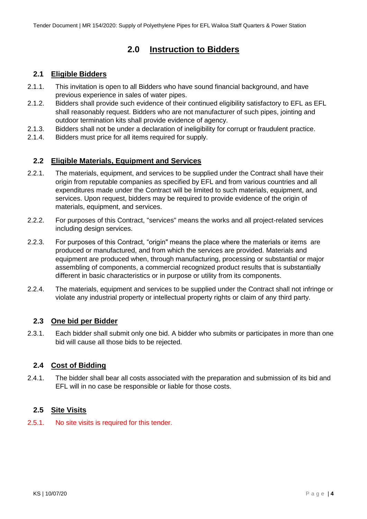## **2.0 Instruction to Bidders**

#### <span id="page-3-1"></span><span id="page-3-0"></span>**2.1 Eligible Bidders**

- 2.1.1. This invitation is open to all Bidders who have sound financial background, and have previous experience in sales of water pipes.
- 2.1.2. Bidders shall provide such evidence of their continued eligibility satisfactory to EFL as EFL shall reasonably request. Bidders who are not manufacturer of such pipes, jointing and outdoor termination kits shall provide evidence of agency.
- 2.1.3. Bidders shall not be under a declaration of ineligibility for corrupt or fraudulent practice.
- 2.1.4. Bidders must price for all items required for supply.

## <span id="page-3-2"></span>**2.2 Eligible Materials, Equipment and Services**

- 2.2.1. The materials, equipment, and services to be supplied under the Contract shall have their origin from reputable companies as specified by EFL and from various countries and all expenditures made under the Contract will be limited to such materials, equipment, and services. Upon request, bidders may be required to provide evidence of the origin of materials, equipment, and services.
- 2.2.2. For purposes of this Contract, "services" means the works and all project-related services including design services.
- 2.2.3. For purposes of this Contract, "origin" means the place where the materials or items are produced or manufactured, and from which the services are provided. Materials and equipment are produced when, through manufacturing, processing or substantial or major assembling of components, a commercial recognized product results that is substantially different in basic characteristics or in purpose or utility from its components.
- 2.2.4. The materials, equipment and services to be supplied under the Contract shall not infringe or violate any industrial property or intellectual property rights or claim of any third party.

## <span id="page-3-3"></span>**2.3 One bid per Bidder**

2.3.1. Each bidder shall submit only one bid. A bidder who submits or participates in more than one bid will cause all those bids to be rejected.

## <span id="page-3-4"></span>**2.4 Cost of Bidding**

2.4.1. The bidder shall bear all costs associated with the preparation and submission of its bid and EFL will in no case be responsible or liable for those costs.

#### <span id="page-3-5"></span>**2.5 Site Visits**

2.5.1. No site visits is required for this tender.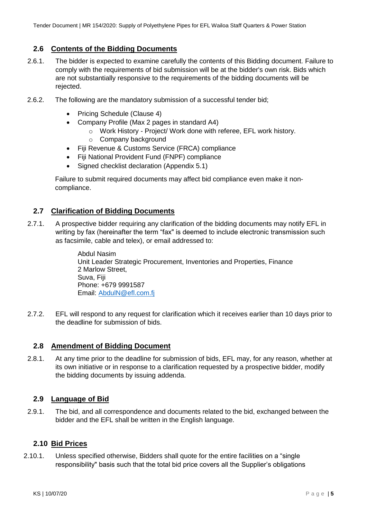#### <span id="page-4-0"></span>**2.6 Contents of the Bidding Documents**

- 2.6.1. The bidder is expected to examine carefully the contents of this Bidding document. Failure to comply with the requirements of bid submission will be at the bidder's own risk. Bids which are not substantially responsive to the requirements of the bidding documents will be rejected.
- 2.6.2. The following are the mandatory submission of a successful tender bid;
	- Pricing Schedule (Clause 4)
	- Company Profile (Max 2 pages in standard A4)
		- o Work History Project/ Work done with referee, EFL work history.
		- o Company background
	- Fiji Revenue & Customs Service (FRCA) compliance
	- Fiji National Provident Fund (FNPF) compliance
	- Signed checklist declaration (Appendix 5.1)

Failure to submit required documents may affect bid compliance even make it noncompliance.

#### <span id="page-4-1"></span>**2.7 Clarification of Bidding Documents**

2.7.1. A prospective bidder requiring any clarification of the bidding documents may notify EFL in writing by fax (hereinafter the term "fax" is deemed to include electronic transmission such as facsimile, cable and telex), or email addressed to:

> Abdul Nasim Unit Leader Strategic Procurement, Inventories and Properties, Finance 2 Marlow Street, Suva, Fiji Phone: +679 9991587 Email: [AbdulN@efl.com.fj](mailto:AbdulN@efl.com.fj)

2.7.2. EFL will respond to any request for clarification which it receives earlier than 10 days prior to the deadline for submission of bids.

#### <span id="page-4-2"></span>**2.8 Amendment of Bidding Document**

2.8.1. At any time prior to the deadline for submission of bids, EFL may, for any reason, whether at its own initiative or in response to a clarification requested by a prospective bidder, modify the bidding documents by issuing addenda.

#### <span id="page-4-3"></span>**2.9 Language of Bid**

2.9.1. The bid, and all correspondence and documents related to the bid, exchanged between the bidder and the EFL shall be written in the English language.

#### <span id="page-4-4"></span>**2.10 Bid Prices**

2.10.1. Unless specified otherwise, Bidders shall quote for the entire facilities on a "single responsibility" basis such that the total bid price covers all the Supplier's obligations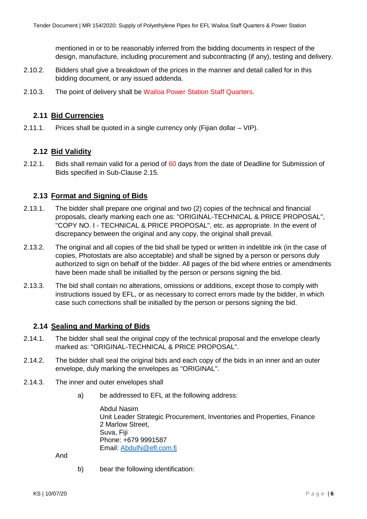mentioned in or to be reasonably inferred from the bidding documents in respect of the design, manufacture, including procurement and subcontracting (if any), testing and delivery.

- 2.10.2. Bidders shall give a breakdown of the prices in the manner and detail called for in this bidding document, or any issued addenda.
- 2.10.3. The point of delivery shall be Wailoa Power Station Staff Quarters.

#### <span id="page-5-0"></span>**2.11 Bid Currencies**

2.11.1. Prices shall be quoted in a single currency only (Fijian dollar – VIP).

#### <span id="page-5-1"></span>**2.12 Bid Validity**

2.12.1. Bids shall remain valid for a period of 60 days from the date of Deadline for Submission of Bids specified in Sub-Clause 2.15.

#### <span id="page-5-2"></span>**2.13 Format and Signing of Bids**

- 2.13.1. The bidder shall prepare one original and two (2) copies of the technical and financial proposals, clearly marking each one as: "ORIGINAL-TECHNICAL & PRICE PROPOSAL", "COPY NO. I - TECHNICAL & PRICE PROPOSAL", etc. as appropriate. In the event of discrepancy between the original and any copy, the original shall prevail.
- 2.13.2. The original and all copies of the bid shall be typed or written in indelible ink (in the case of copies, Photostats are also acceptable) and shall be signed by a person or persons duly authorized to sign on behalf of the bidder. All pages of the bid where entries or amendments have been made shall be initialled by the person or persons signing the bid.
- 2.13.3. The bid shall contain no alterations, omissions or additions, except those to comply with instructions issued by EFL, or as necessary to correct errors made by the bidder, in which case such corrections shall be initialled by the person or persons signing the bid.

#### <span id="page-5-3"></span>**2.14 Sealing and Marking of Bids**

- 2.14.1. The bidder shall seal the original copy of the technical proposal and the envelope clearly marked as: "ORIGINAL-TECHNICAL & PRICE PROPOSAL".
- 2.14.2. The bidder shall seal the original bids and each copy of the bids in an inner and an outer envelope, duly marking the envelopes as "ORIGINAL".
- 2.14.3. The inner and outer envelopes shall
	- a) be addressed to EFL at the following address:

Abdul Nasim Unit Leader Strategic Procurement, Inventories and Properties, Finance 2 Marlow Street, Suva, Fiji Phone: +679 9991587 Email: [AbdulN@efl.com.fj](mailto:AbdulN@efl.com.fj)

And

b) bear the following identification: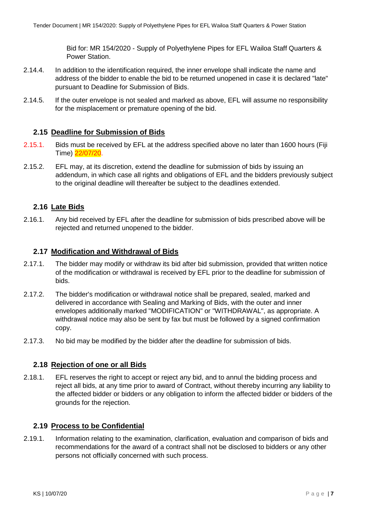Bid for: MR 154/2020 - Supply of Polyethylene Pipes for EFL Wailoa Staff Quarters & Power Station.

- 2.14.4. In addition to the identification required, the inner envelope shall indicate the name and address of the bidder to enable the bid to be returned unopened in case it is declared "late" pursuant to Deadline for Submission of Bids.
- 2.14.5. If the outer envelope is not sealed and marked as above, EFL will assume no responsibility for the misplacement or premature opening of the bid.

#### <span id="page-6-0"></span>**2.15 Deadline for Submission of Bids**

- 2.15.1. Bids must be received by EFL at the address specified above no later than 1600 hours (Fiji Time) 22/07/20.
- 2.15.2. EFL may, at its discretion, extend the deadline for submission of bids by issuing an addendum, in which case all rights and obligations of EFL and the bidders previously subject to the original deadline will thereafter be subject to the deadlines extended.

#### <span id="page-6-1"></span>**2.16 Late Bids**

2.16.1. Any bid received by EFL after the deadline for submission of bids prescribed above will be rejected and returned unopened to the bidder.

#### <span id="page-6-2"></span>**2.17 Modification and Withdrawal of Bids**

- 2.17.1. The bidder may modify or withdraw its bid after bid submission, provided that written notice of the modification or withdrawal is received by EFL prior to the deadline for submission of bids.
- 2.17.2. The bidder's modification or withdrawal notice shall be prepared, sealed, marked and delivered in accordance with Sealing and Marking of Bids, with the outer and inner envelopes additionally marked "MODIFICATION" or "WITHDRAWAL", as appropriate. A withdrawal notice may also be sent by fax but must be followed by a signed confirmation copy.
- 2.17.3. No bid may be modified by the bidder after the deadline for submission of bids.

#### <span id="page-6-3"></span>**2.18 Rejection of one or all Bids**

2.18.1. EFL reserves the right to accept or reject any bid, and to annul the bidding process and reject all bids, at any time prior to award of Contract, without thereby incurring any liability to the affected bidder or bidders or any obligation to inform the affected bidder or bidders of the grounds for the rejection.

#### <span id="page-6-4"></span>**2.19 Process to be Confidential**

2.19.1. Information relating to the examination, clarification, evaluation and comparison of bids and recommendations for the award of a contract shall not be disclosed to bidders or any other persons not officially concerned with such process.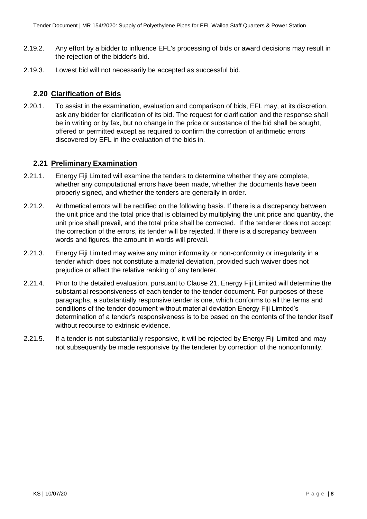- 2.19.2. Any effort by a bidder to influence EFL's processing of bids or award decisions may result in the rejection of the bidder's bid.
- 2.19.3. Lowest bid will not necessarily be accepted as successful bid.

#### <span id="page-7-0"></span>**2.20 Clarification of Bids**

2.20.1. To assist in the examination, evaluation and comparison of bids, EFL may, at its discretion, ask any bidder for clarification of its bid. The request for clarification and the response shall be in writing or by fax, but no change in the price or substance of the bid shall be sought, offered or permitted except as required to confirm the correction of arithmetic errors discovered by EFL in the evaluation of the bids in.

#### <span id="page-7-1"></span>**2.21 Preliminary Examination**

- 2.21.1. Energy Fiji Limited will examine the tenders to determine whether they are complete, whether any computational errors have been made, whether the documents have been properly signed, and whether the tenders are generally in order.
- 2.21.2. Arithmetical errors will be rectified on the following basis. If there is a discrepancy between the unit price and the total price that is obtained by multiplying the unit price and quantity, the unit price shall prevail, and the total price shall be corrected. If the tenderer does not accept the correction of the errors, its tender will be rejected. If there is a discrepancy between words and figures, the amount in words will prevail.
- 2.21.3. Energy Fiji Limited may waive any minor informality or non-conformity or irregularity in a tender which does not constitute a material deviation, provided such waiver does not prejudice or affect the relative ranking of any tenderer.
- 2.21.4. Prior to the detailed evaluation, pursuant to Clause 21, Energy Fiji Limited will determine the substantial responsiveness of each tender to the tender document. For purposes of these paragraphs, a substantially responsive tender is one, which conforms to all the terms and conditions of the tender document without material deviation Energy Fiji Limited's determination of a tender's responsiveness is to be based on the contents of the tender itself without recourse to extrinsic evidence.
- 2.21.5. If a tender is not substantially responsive, it will be rejected by Energy Fiji Limited and may not subsequently be made responsive by the tenderer by correction of the nonconformity.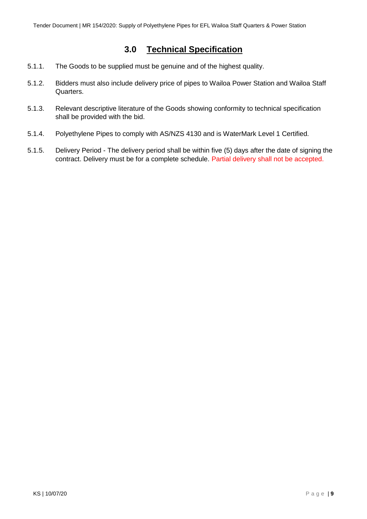## **3.0 Technical Specification**

- <span id="page-8-0"></span>5.1.1. The Goods to be supplied must be genuine and of the highest quality.
- 5.1.2. Bidders must also include delivery price of pipes to Wailoa Power Station and Wailoa Staff Quarters.
- 5.1.3. Relevant descriptive literature of the Goods showing conformity to technical specification shall be provided with the bid.
- 5.1.4. Polyethylene Pipes to comply with AS/NZS 4130 and is WaterMark Level 1 Certified.
- 5.1.5. Delivery Period The delivery period shall be within five (5) days after the date of signing the contract. Delivery must be for a complete schedule. Partial delivery shall not be accepted.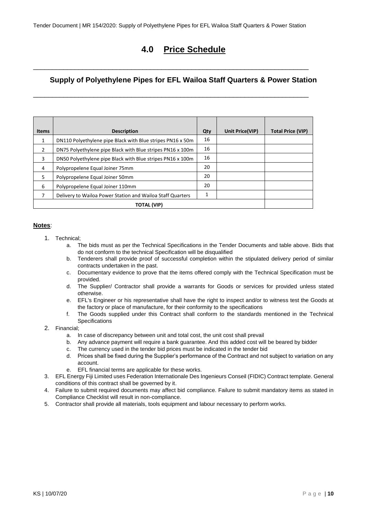<span id="page-9-0"></span>\_\_\_\_\_\_\_\_\_\_\_\_\_\_\_\_\_\_\_\_\_\_\_\_\_\_\_\_\_\_\_\_\_\_\_\_\_\_\_\_\_\_\_\_\_\_\_\_\_\_\_\_\_\_\_\_\_\_\_\_\_\_\_\_\_\_\_\_\_\_\_\_\_

\_\_\_\_\_\_\_\_\_\_\_\_\_\_\_\_\_\_\_\_\_\_\_\_\_\_\_\_\_\_\_\_\_\_\_\_\_\_\_\_\_\_\_\_\_\_\_\_\_\_\_\_\_\_\_\_\_\_\_\_\_\_\_\_\_\_\_\_\_\_\_\_\_

## **4.0 Price Schedule**

## **Supply of Polyethylene Pipes for EFL Wailoa Staff Quarters & Power Station**

| <b>Items</b>       | <b>Description</b>                                         | Qty | Unit Price(VIP) | <b>Total Price (VIP)</b> |
|--------------------|------------------------------------------------------------|-----|-----------------|--------------------------|
| 1                  | DN110 Polyethylene pipe Black with Blue stripes PN16 x 50m | 16  |                 |                          |
| $\mathcal{P}$      | DN75 Polyethylene pipe Black with Blue stripes PN16 x 100m | 16  |                 |                          |
| 3                  | DN50 Polyethylene pipe Black with Blue stripes PN16 x 100m | 16  |                 |                          |
| 4                  | Polypropelene Equal Joiner 75mm                            | 20  |                 |                          |
| 5                  | Polypropelene Equal Joiner 50mm                            | 20  |                 |                          |
| 6                  | Polypropelene Equal Joiner 110mm                           | 20  |                 |                          |
| 7                  | Delivery to Wailoa Power Station and Wailoa Staff Quarters | 1   |                 |                          |
| <b>TOTAL (VIP)</b> |                                                            |     |                 |                          |

#### **Notes**:

- 1. Technical;
	- a. The bids must as per the Technical Specifications in the Tender Documents and table above. Bids that do not conform to the technical Specification will be disqualified
	- b. Tenderers shall provide proof of successful completion within the stipulated delivery period of similar contracts undertaken in the past.
	- c. Documentary evidence to prove that the items offered comply with the Technical Specification must be provided.
	- d. The Supplier/ Contractor shall provide a warrants for Goods or services for provided unless stated otherwise.
	- e. EFL's Engineer or his representative shall have the right to inspect and/or to witness test the Goods at the factory or place of manufacture, for their conformity to the specifications
	- f. The Goods supplied under this Contract shall conform to the standards mentioned in the Technical Specifications

#### 2. Financial;

- a. In case of discrepancy between unit and total cost, the unit cost shall prevail
- b. Any advance payment will require a bank guarantee. And this added cost will be beared by bidder
- c. The currency used in the tender bid prices must be indicated in the tender bid
- d. Prices shall be fixed during the Supplier's performance of the Contract and not subject to variation on any account.
- e. EFL financial terms are applicable for these works.
- 3. EFL Energy Fiji Limited uses Federation Internationale Des Ingenieurs Conseil (FIDIC) Contract template. General conditions of this contract shall be governed by it.
- 4. Failure to submit required documents may affect bid compliance. Failure to submit mandatory items as stated in Compliance Checklist will result in non-compliance.
- 5. Contractor shall provide all materials, tools equipment and labour necessary to perform works.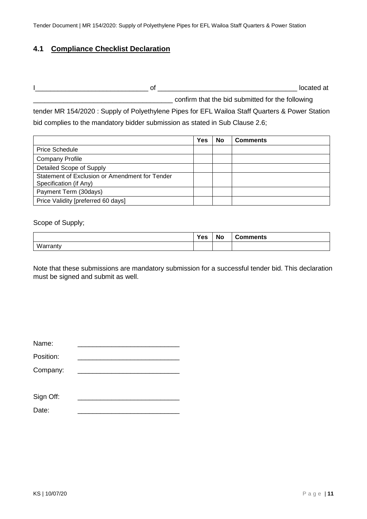#### <span id="page-10-0"></span>**4.1 Compliance Checklist Declaration**

I\_\_\_\_\_\_\_\_\_\_\_\_\_\_\_\_\_\_\_\_\_\_\_\_\_\_\_\_\_\_ of \_\_\_\_\_\_\_\_\_\_\_\_\_\_\_\_\_\_\_\_\_\_\_\_\_\_\_\_\_\_\_\_\_\_\_\_\_ located at \_\_\_\_\_\_\_\_\_\_\_\_\_\_\_\_\_\_\_\_\_\_\_\_\_\_\_\_\_\_\_\_\_\_\_\_\_ confirm that the bid submitted for the following

tender MR 154/2020 : Supply of Polyethylene Pipes for EFL Wailoa Staff Quarters & Power Station bid complies to the mandatory bidder submission as stated in Sub Clause 2.6;

|                                                                          | Yes | No | <b>Comments</b> |
|--------------------------------------------------------------------------|-----|----|-----------------|
| <b>Price Schedule</b>                                                    |     |    |                 |
| <b>Company Profile</b>                                                   |     |    |                 |
| Detailed Scope of Supply                                                 |     |    |                 |
| Statement of Exclusion or Amendment for Tender<br>Specification (if Any) |     |    |                 |
| Payment Term (30days)                                                    |     |    |                 |
| Price Validity [preferred 60 days]                                       |     |    |                 |

Scope of Supply;

|          | Yes | <b>No</b> | <b>Comments</b> |
|----------|-----|-----------|-----------------|
| Warranty |     |           |                 |

Note that these submissions are mandatory submission for a successful tender bid. This declaration must be signed and submit as well.

| Name:     |  |
|-----------|--|
| Position: |  |
| Company:  |  |
|           |  |
| Sign Off: |  |
| Date:     |  |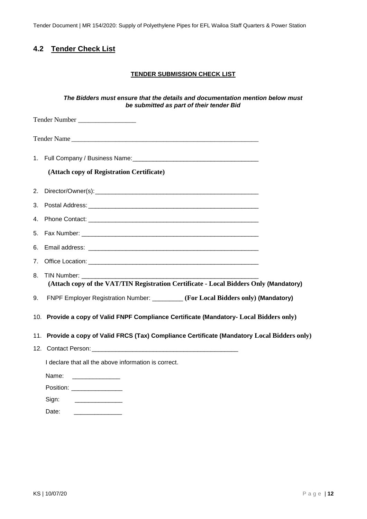Tender Document | MR 154/2020: Supply of Polyethylene Pipes for EFL Wailoa Staff Quarters & Power Station

## <span id="page-11-0"></span>**4.2 Tender Check List**

#### **TENDER SUBMISSION CHECK LIST**

#### *The Bidders must ensure that the details and documentation mention below must be submitted as part of their tender Bid*

|    | Tender Number                                                                                |  |
|----|----------------------------------------------------------------------------------------------|--|
|    |                                                                                              |  |
|    |                                                                                              |  |
|    | (Attach copy of Registration Certificate)                                                    |  |
|    |                                                                                              |  |
|    |                                                                                              |  |
|    |                                                                                              |  |
| 5. |                                                                                              |  |
| 6. |                                                                                              |  |
|    |                                                                                              |  |
| 8. | (Attach copy of the VAT/TIN Registration Certificate - Local Bidders Only (Mandatory)        |  |
| 9. | FNPF Employer Registration Number: ________ (For Local Bidders only) (Mandatory)             |  |
|    | 10. Provide a copy of Valid FNPF Compliance Certificate (Mandatory- Local Bidders only)      |  |
|    | 11. Provide a copy of Valid FRCS (Tax) Compliance Certificate (Mandatory Local Bidders only) |  |
|    |                                                                                              |  |
|    | I declare that all the above information is correct.                                         |  |
|    | Name:                                                                                        |  |
|    | Position: _________________                                                                  |  |
|    | Sign:                                                                                        |  |

Date: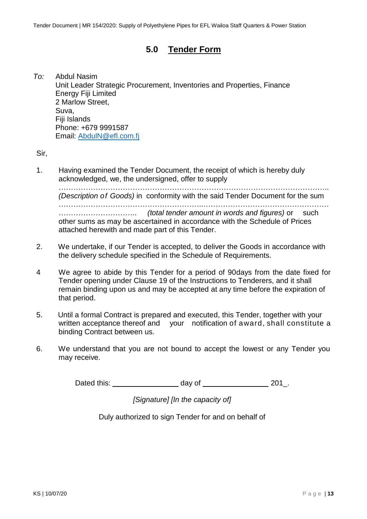## **5.0 Tender Form**

<span id="page-12-0"></span>*To:* Abdul Nasim Unit Leader Strategic Procurement, Inventories and Properties, Finance Energy Fiji Limited 2 Marlow Street, Suva, Fiji Islands Phone: +679 9991587 Email: [AbdulN@efl.com.fj](mailto:AbdulN@efl.com.fj)

Sir,

1. Having examined the Tender Document, the receipt of which is hereby duly acknowledged, we, the undersigned, offer to supply

……………………………………………………………………………………………….. *(Description of Goods)* in conformity with the said Tender Document for the sum …………………………………………………..…………………………………………… ………………………….. *(total tender amount in words and figures)* or such other sums as may be ascertained in accordance with the Schedule of Prices attached herewith and made part of this Tender.

- 2. We undertake, if our Tender is accepted, to deliver the Goods in accordance with the delivery schedule specified in the Schedule of Requirements.
- 4 We agree to abide by this Tender for a period of 90days from the date fixed for Tender opening under Clause 19 of the Instructions to Tenderers, and it shall remain binding upon us and may be accepted at any time before the expiration of that period.
- 5. Until a formal Contract is prepared and executed, this Tender, together with your written acceptance thereof and your notification of award, shall constitute a binding Contract between us.
- 6. We understand that you are not bound to accept the lowest or any Tender you may receive.

Dated this: day of 201.

*[Signature] [In the capacity of]*

Duly authorized to sign Tender for and on behalf of